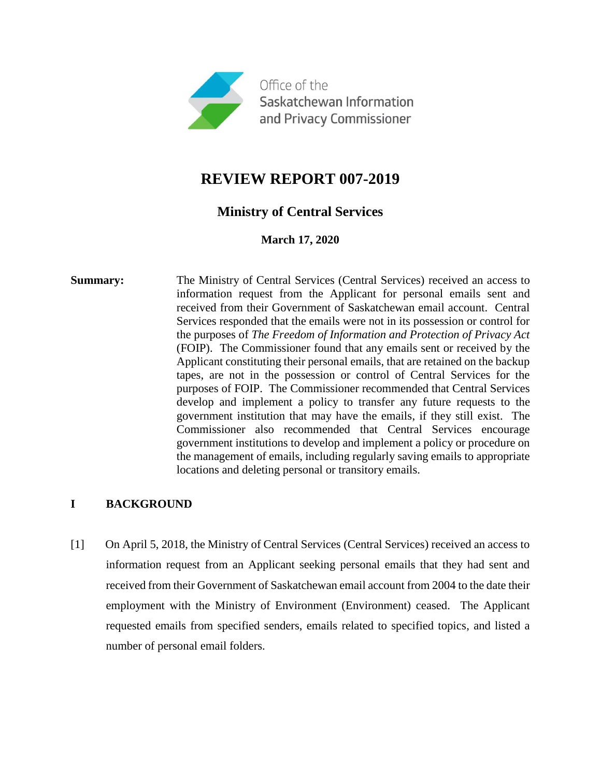

# **REVIEW REPORT 007-2019**

# **Ministry of Central Services**

**March 17, 2020**

**Summary:** The Ministry of Central Services (Central Services) received an access to information request from the Applicant for personal emails sent and received from their Government of Saskatchewan email account. Central Services responded that the emails were not in its possession or control for the purposes of *The Freedom of Information and Protection of Privacy Act* (FOIP). The Commissioner found that any emails sent or received by the Applicant constituting their personal emails, that are retained on the backup tapes, are not in the possession or control of Central Services for the purposes of FOIP. The Commissioner recommended that Central Services develop and implement a policy to transfer any future requests to the government institution that may have the emails, if they still exist. The Commissioner also recommended that Central Services encourage government institutions to develop and implement a policy or procedure on the management of emails, including regularly saving emails to appropriate locations and deleting personal or transitory emails.

## **I BACKGROUND**

[1] On April 5, 2018, the Ministry of Central Services (Central Services) received an access to information request from an Applicant seeking personal emails that they had sent and received from their Government of Saskatchewan email account from 2004 to the date their employment with the Ministry of Environment (Environment) ceased. The Applicant requested emails from specified senders, emails related to specified topics, and listed a number of personal email folders.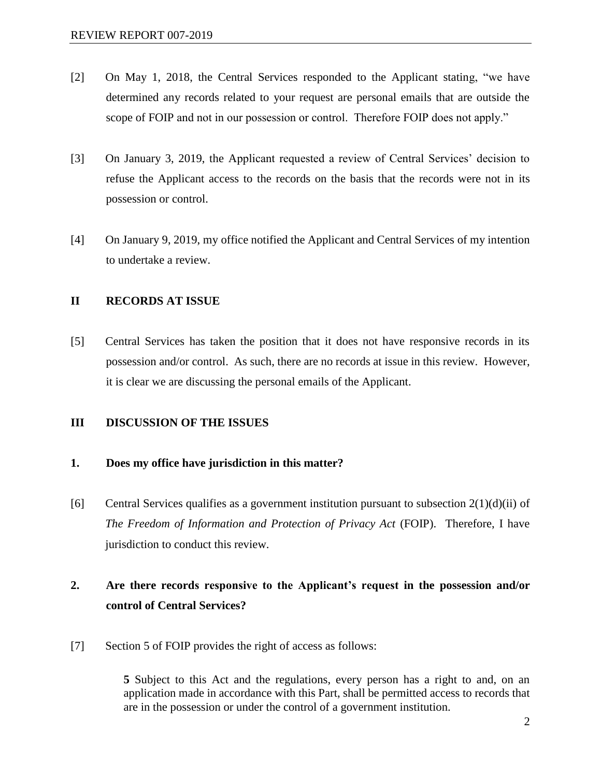- [2] On May 1, 2018, the Central Services responded to the Applicant stating, "we have determined any records related to your request are personal emails that are outside the scope of FOIP and not in our possession or control. Therefore FOIP does not apply."
- [3] On January 3, 2019, the Applicant requested a review of Central Services' decision to refuse the Applicant access to the records on the basis that the records were not in its possession or control.
- [4] On January 9, 2019, my office notified the Applicant and Central Services of my intention to undertake a review.

## **II RECORDS AT ISSUE**

[5] Central Services has taken the position that it does not have responsive records in its possession and/or control. As such, there are no records at issue in this review. However, it is clear we are discussing the personal emails of the Applicant.

### **III DISCUSSION OF THE ISSUES**

### **1. Does my office have jurisdiction in this matter?**

[6] Central Services qualifies as a government institution pursuant to subsection  $2(1)(d)(ii)$  of *The Freedom of Information and Protection of Privacy Act* (FOIP). Therefore, I have jurisdiction to conduct this review.

# **2. Are there records responsive to the Applicant's request in the possession and/or control of Central Services?**

[7] Section 5 of FOIP provides the right of access as follows:

**5** Subject to this Act and the regulations, every person has a right to and, on an application made in accordance with this Part, shall be permitted access to records that are in the possession or under the control of a government institution.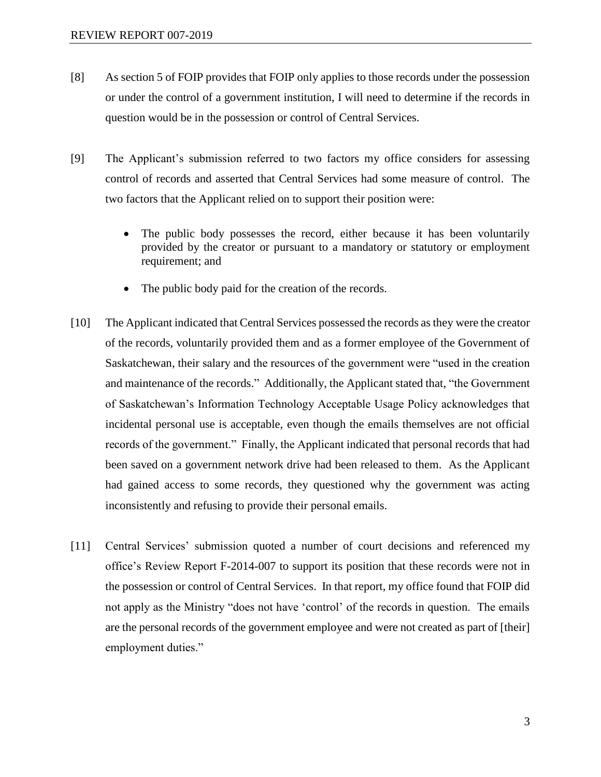- [8] As section 5 of FOIP provides that FOIP only applies to those records under the possession or under the control of a government institution, I will need to determine if the records in question would be in the possession or control of Central Services.
- [9] The Applicant's submission referred to two factors my office considers for assessing control of records and asserted that Central Services had some measure of control. The two factors that the Applicant relied on to support their position were:
	- The public body possesses the record, either because it has been voluntarily provided by the creator or pursuant to a mandatory or statutory or employment requirement; and
	- The public body paid for the creation of the records.
- [10] The Applicant indicated that Central Services possessed the records as they were the creator of the records, voluntarily provided them and as a former employee of the Government of Saskatchewan, their salary and the resources of the government were "used in the creation and maintenance of the records." Additionally, the Applicant stated that, "the Government of Saskatchewan's Information Technology Acceptable Usage Policy acknowledges that incidental personal use is acceptable, even though the emails themselves are not official records of the government." Finally, the Applicant indicated that personal records that had been saved on a government network drive had been released to them. As the Applicant had gained access to some records, they questioned why the government was acting inconsistently and refusing to provide their personal emails.
- [11] Central Services' submission quoted a number of court decisions and referenced my office's Review Report F-2014-007 to support its position that these records were not in the possession or control of Central Services. In that report, my office found that FOIP did not apply as the Ministry "does not have 'control' of the records in question. The emails are the personal records of the government employee and were not created as part of [their] employment duties."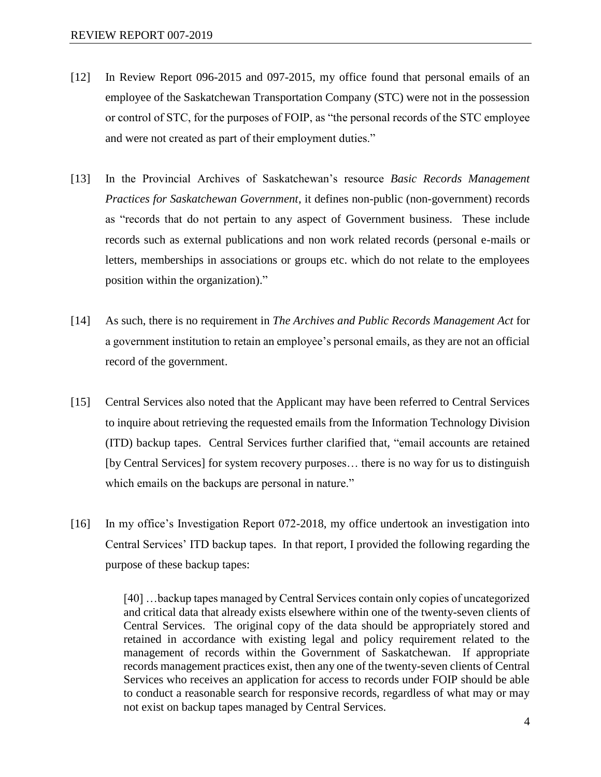- [12] In Review Report 096-2015 and 097-2015, my office found that personal emails of an employee of the Saskatchewan Transportation Company (STC) were not in the possession or control of STC, for the purposes of FOIP, as "the personal records of the STC employee and were not created as part of their employment duties."
- [13] In the Provincial Archives of Saskatchewan's resource *Basic Records Management Practices for Saskatchewan Government*, it defines non-public (non-government) records as "records that do not pertain to any aspect of Government business. These include records such as external publications and non work related records (personal e-mails or letters, memberships in associations or groups etc. which do not relate to the employees position within the organization)."
- [14] As such, there is no requirement in *The Archives and Public Records Management Act* for a government institution to retain an employee's personal emails, as they are not an official record of the government.
- [15] Central Services also noted that the Applicant may have been referred to Central Services to inquire about retrieving the requested emails from the Information Technology Division (ITD) backup tapes. Central Services further clarified that, "email accounts are retained [by Central Services] for system recovery purposes… there is no way for us to distinguish which emails on the backups are personal in nature."
- [16] In my office's Investigation Report 072-2018, my office undertook an investigation into Central Services' ITD backup tapes. In that report, I provided the following regarding the purpose of these backup tapes:

[40] …backup tapes managed by Central Services contain only copies of uncategorized and critical data that already exists elsewhere within one of the twenty-seven clients of Central Services. The original copy of the data should be appropriately stored and retained in accordance with existing legal and policy requirement related to the management of records within the Government of Saskatchewan. If appropriate records management practices exist, then any one of the twenty-seven clients of Central Services who receives an application for access to records under FOIP should be able to conduct a reasonable search for responsive records, regardless of what may or may not exist on backup tapes managed by Central Services.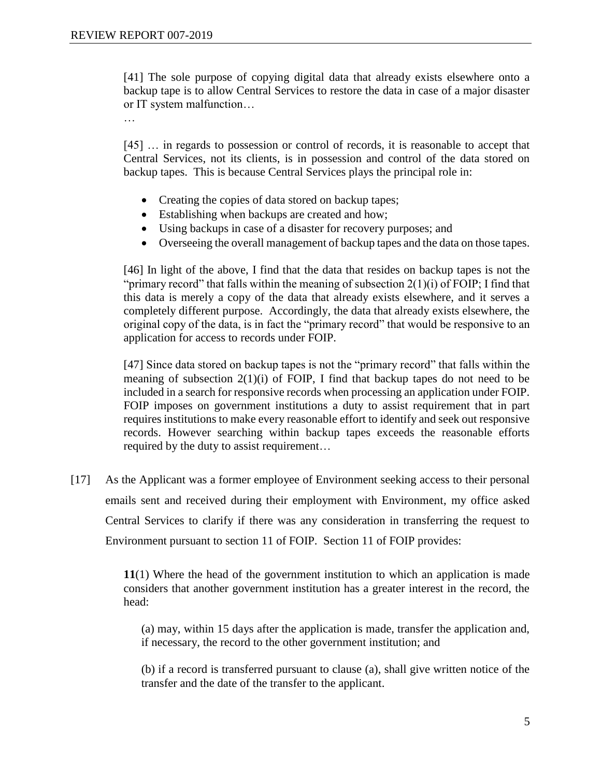[41] The sole purpose of copying digital data that already exists elsewhere onto a backup tape is to allow Central Services to restore the data in case of a major disaster or IT system malfunction…

…

[45] ... in regards to possession or control of records, it is reasonable to accept that Central Services, not its clients, is in possession and control of the data stored on backup tapes. This is because Central Services plays the principal role in:

- Creating the copies of data stored on backup tapes;
- Establishing when backups are created and how;
- Using backups in case of a disaster for recovery purposes; and
- Overseeing the overall management of backup tapes and the data on those tapes.

[46] In light of the above, I find that the data that resides on backup tapes is not the "primary record" that falls within the meaning of subsection 2(1)(i) of FOIP; I find that this data is merely a copy of the data that already exists elsewhere, and it serves a completely different purpose. Accordingly, the data that already exists elsewhere, the original copy of the data, is in fact the "primary record" that would be responsive to an application for access to records under FOIP.

[47] Since data stored on backup tapes is not the "primary record" that falls within the meaning of subsection 2(1)(i) of FOIP, I find that backup tapes do not need to be included in a search for responsive records when processing an application under FOIP. FOIP imposes on government institutions a duty to assist requirement that in part requires institutions to make every reasonable effort to identify and seek out responsive records. However searching within backup tapes exceeds the reasonable efforts required by the duty to assist requirement…

[17] As the Applicant was a former employee of Environment seeking access to their personal emails sent and received during their employment with Environment, my office asked Central Services to clarify if there was any consideration in transferring the request to Environment pursuant to section 11 of FOIP. Section 11 of FOIP provides:

> **11**(1) Where the head of the government institution to which an application is made considers that another government institution has a greater interest in the record, the head:

(a) may, within 15 days after the application is made, transfer the application and, if necessary, the record to the other government institution; and

(b) if a record is transferred pursuant to clause (a), shall give written notice of the transfer and the date of the transfer to the applicant.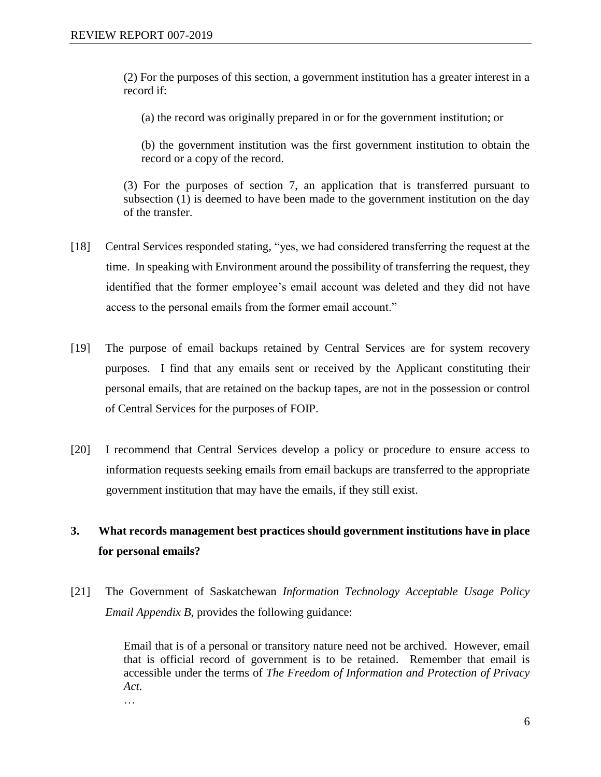(2) For the purposes of this section, a government institution has a greater interest in a record if:

(a) the record was originally prepared in or for the government institution; or

(b) the government institution was the first government institution to obtain the record or a copy of the record.

(3) For the purposes of section 7, an application that is transferred pursuant to subsection (1) is deemed to have been made to the government institution on the day of the transfer.

- [18] Central Services responded stating, "yes, we had considered transferring the request at the time. In speaking with Environment around the possibility of transferring the request, they identified that the former employee's email account was deleted and they did not have access to the personal emails from the former email account."
- [19] The purpose of email backups retained by Central Services are for system recovery purposes. I find that any emails sent or received by the Applicant constituting their personal emails, that are retained on the backup tapes, are not in the possession or control of Central Services for the purposes of FOIP.
- [20] I recommend that Central Services develop a policy or procedure to ensure access to information requests seeking emails from email backups are transferred to the appropriate government institution that may have the emails, if they still exist.

# **3. What records management best practices should government institutions have in place for personal emails?**

[21] The Government of Saskatchewan *Information Technology Acceptable Usage Policy Email Appendix B*, provides the following guidance:

> Email that is of a personal or transitory nature need not be archived. However, email that is official record of government is to be retained. Remember that email is accessible under the terms of *The Freedom of Information and Protection of Privacy Act*.

…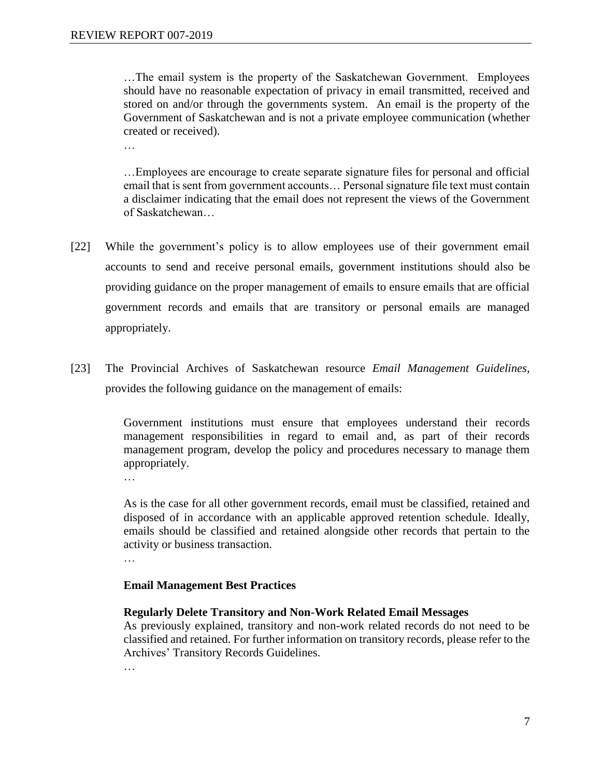…The email system is the property of the Saskatchewan Government. Employees should have no reasonable expectation of privacy in email transmitted, received and stored on and/or through the governments system. An email is the property of the Government of Saskatchewan and is not a private employee communication (whether created or received).

…

…Employees are encourage to create separate signature files for personal and official email that is sent from government accounts… Personal signature file text must contain a disclaimer indicating that the email does not represent the views of the Government of Saskatchewan…

- [22] While the government's policy is to allow employees use of their government email accounts to send and receive personal emails, government institutions should also be providing guidance on the proper management of emails to ensure emails that are official government records and emails that are transitory or personal emails are managed appropriately.
- [23] The Provincial Archives of Saskatchewan resource *Email Management Guidelines*, provides the following guidance on the management of emails:

Government institutions must ensure that employees understand their records management responsibilities in regard to email and, as part of their records management program, develop the policy and procedures necessary to manage them appropriately.

…

As is the case for all other government records, email must be classified, retained and disposed of in accordance with an applicable approved retention schedule. Ideally, emails should be classified and retained alongside other records that pertain to the activity or business transaction.

…

### **Email Management Best Practices**

### **Regularly Delete Transitory and Non-Work Related Email Messages**

As previously explained, transitory and non-work related records do not need to be classified and retained. For further information on transitory records, please refer to the Archives' Transitory Records Guidelines.

…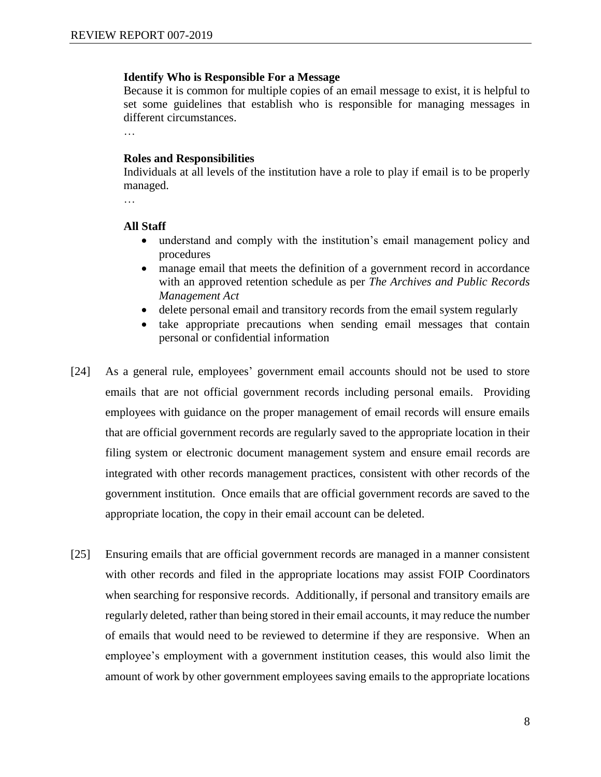#### **Identify Who is Responsible For a Message**

Because it is common for multiple copies of an email message to exist, it is helpful to set some guidelines that establish who is responsible for managing messages in different circumstances.

…

#### **Roles and Responsibilities**

Individuals at all levels of the institution have a role to play if email is to be properly managed.

…

#### **All Staff**

- understand and comply with the institution's email management policy and procedures
- manage email that meets the definition of a government record in accordance with an approved retention schedule as per *The Archives and Public Records Management Act*
- delete personal email and transitory records from the email system regularly
- take appropriate precautions when sending email messages that contain personal or confidential information
- [24] As a general rule, employees' government email accounts should not be used to store emails that are not official government records including personal emails. Providing employees with guidance on the proper management of email records will ensure emails that are official government records are regularly saved to the appropriate location in their filing system or electronic document management system and ensure email records are integrated with other records management practices, consistent with other records of the government institution. Once emails that are official government records are saved to the appropriate location, the copy in their email account can be deleted.
- [25] Ensuring emails that are official government records are managed in a manner consistent with other records and filed in the appropriate locations may assist FOIP Coordinators when searching for responsive records. Additionally, if personal and transitory emails are regularly deleted, rather than being stored in their email accounts, it may reduce the number of emails that would need to be reviewed to determine if they are responsive. When an employee's employment with a government institution ceases, this would also limit the amount of work by other government employees saving emails to the appropriate locations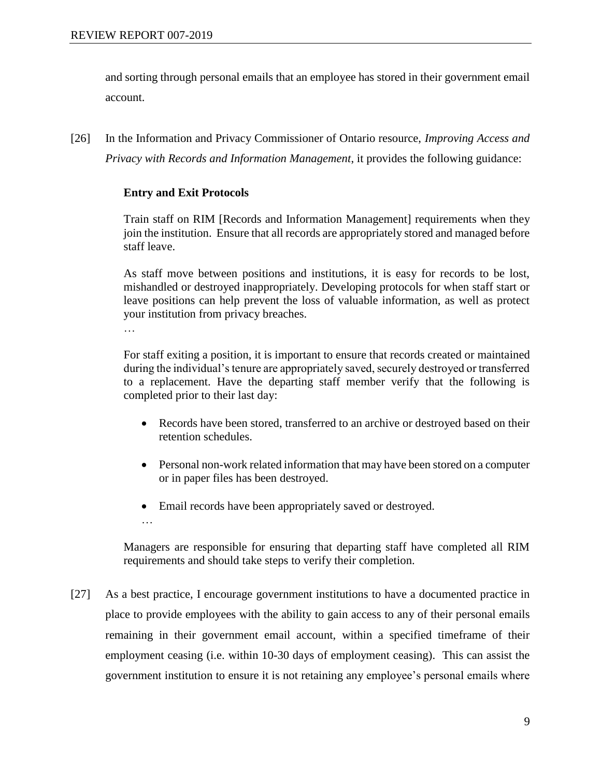and sorting through personal emails that an employee has stored in their government email account.

[26] In the Information and Privacy Commissioner of Ontario resource, *Improving Access and Privacy with Records and Information Management*, it provides the following guidance:

## **Entry and Exit Protocols**

Train staff on RIM [Records and Information Management] requirements when they join the institution. Ensure that all records are appropriately stored and managed before staff leave.

As staff move between positions and institutions, it is easy for records to be lost, mishandled or destroyed inappropriately. Developing protocols for when staff start or leave positions can help prevent the loss of valuable information, as well as protect your institution from privacy breaches.

…

For staff exiting a position, it is important to ensure that records created or maintained during the individual's tenure are appropriately saved, securely destroyed or transferred to a replacement. Have the departing staff member verify that the following is completed prior to their last day:

- Records have been stored, transferred to an archive or destroyed based on their retention schedules.
- Personal non-work related information that may have been stored on a computer or in paper files has been destroyed.
- Email records have been appropriately saved or destroyed.
- …

Managers are responsible for ensuring that departing staff have completed all RIM requirements and should take steps to verify their completion.

[27] As a best practice, I encourage government institutions to have a documented practice in place to provide employees with the ability to gain access to any of their personal emails remaining in their government email account, within a specified timeframe of their employment ceasing (i.e. within 10-30 days of employment ceasing). This can assist the government institution to ensure it is not retaining any employee's personal emails where